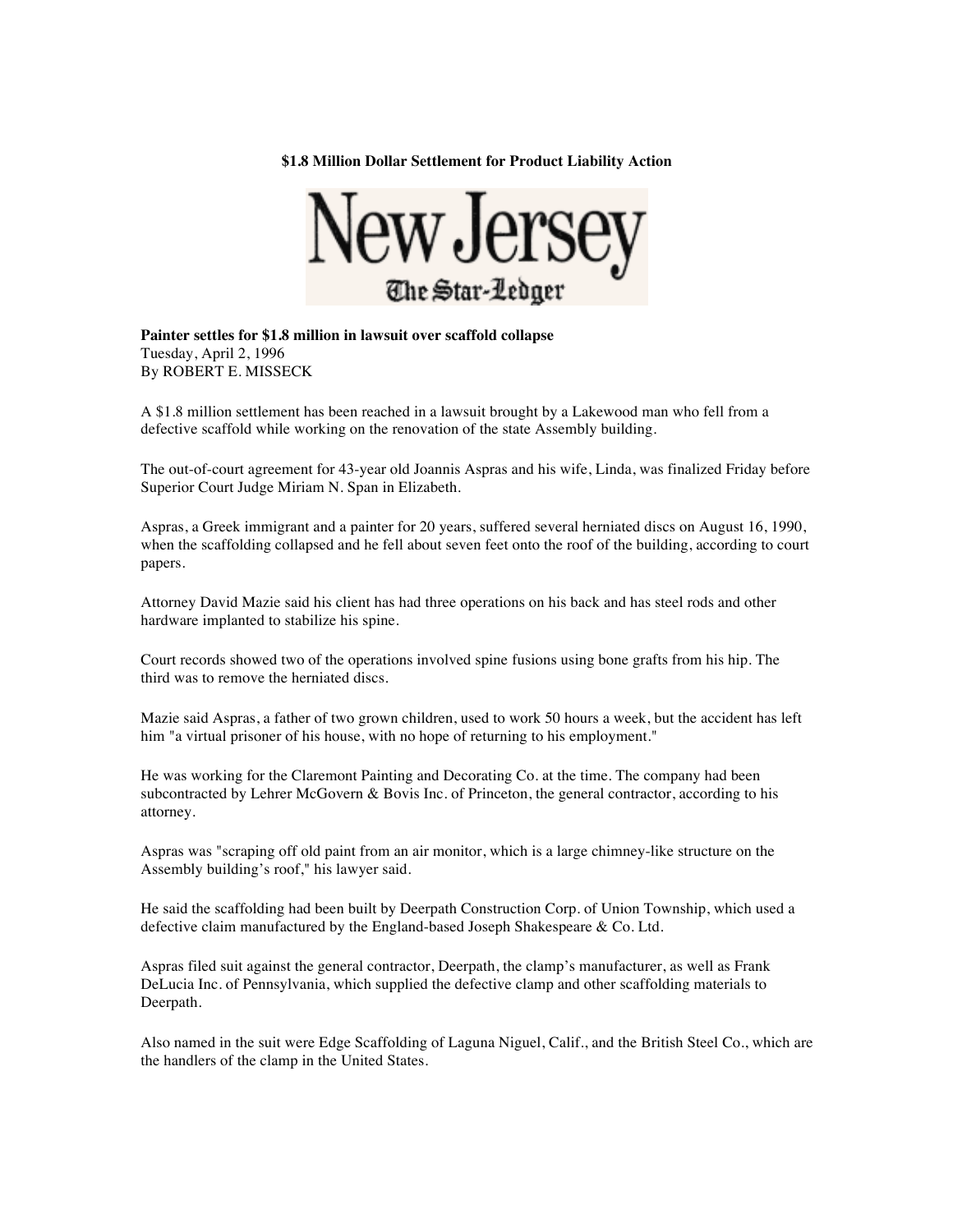**\$1.8 Million Dollar Settlement for Product Liability Action**



**Painter settles for \$1.8 million in lawsuit over scaffold collapse** Tuesday, April 2, 1996 By ROBERT E. MISSECK

A \$1.8 million settlement has been reached in a lawsuit brought by a Lakewood man who fell from a defective scaffold while working on the renovation of the state Assembly building.

The out-of-court agreement for 43-year old Joannis Aspras and his wife, Linda, was finalized Friday before Superior Court Judge Miriam N. Span in Elizabeth.

Aspras, a Greek immigrant and a painter for 20 years, suffered several herniated discs on August 16, 1990, when the scaffolding collapsed and he fell about seven feet onto the roof of the building, according to court papers.

Attorney David Mazie said his client has had three operations on his back and has steel rods and other hardware implanted to stabilize his spine.

Court records showed two of the operations involved spine fusions using bone grafts from his hip. The third was to remove the herniated discs.

Mazie said Aspras, a father of two grown children, used to work 50 hours a week, but the accident has left him "a virtual prisoner of his house, with no hope of returning to his employment."

He was working for the Claremont Painting and Decorating Co. at the time. The company had been subcontracted by Lehrer McGovern & Bovis Inc. of Princeton, the general contractor, according to his attorney.

Aspras was "scraping off old paint from an air monitor, which is a large chimney-like structure on the Assembly building's roof," his lawyer said.

He said the scaffolding had been built by Deerpath Construction Corp. of Union Township, which used a defective claim manufactured by the England-based Joseph Shakespeare & Co. Ltd.

Aspras filed suit against the general contractor, Deerpath, the clamp's manufacturer, as well as Frank DeLucia Inc. of Pennsylvania, which supplied the defective clamp and other scaffolding materials to Deerpath.

Also named in the suit were Edge Scaffolding of Laguna Niguel, Calif., and the British Steel Co., which are the handlers of the clamp in the United States.